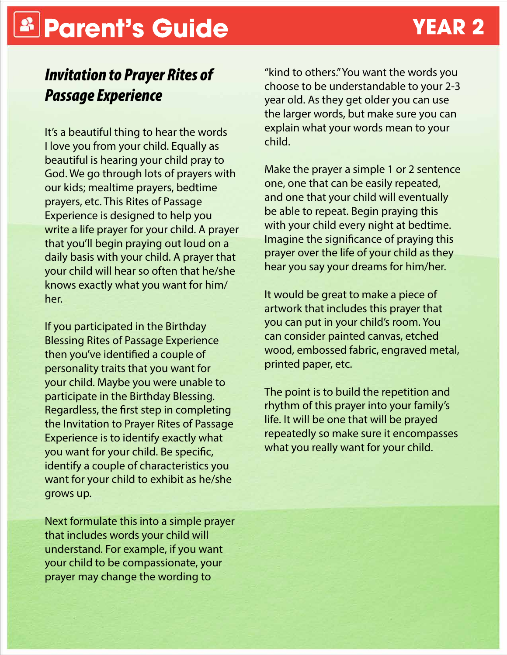# **Parent's Guide YEAR 2**

### *Invitation to Prayer Rites of Passage Experience*

It's a beautiful thing to hear the words I love you from your child. Equally as beautiful is hearing your child pray to God. We go through lots of prayers with our kids; mealtime prayers, bedtime prayers, etc. This Rites of Passage Experience is designed to help you write a life prayer for your child. A prayer that you'll begin praying out loud on a daily basis with your child. A prayer that your child will hear so often that he/she knows exactly what you want for him/ her.

If you participated in the Birthday Blessing Rites of Passage Experience then you've identified a couple of personality traits that you want for your child. Maybe you were unable to participate in the Birthday Blessing. Regardless, the first step in completing the Invitation to Prayer Rites of Passage Experience is to identify exactly what you want for your child. Be specific, identify a couple of characteristics you want for your child to exhibit as he/she grows up.

Next formulate this into a simple prayer that includes words your child will understand. For example, if you want your child to be compassionate, your prayer may change the wording to

"kind to others." You want the words you choose to be understandable to your 2-3 year old. As they get older you can use the larger words, but make sure you can explain what your words mean to your child.

Make the prayer a simple 1 or 2 sentence one, one that can be easily repeated, and one that your child will eventually be able to repeat. Begin praying this with your child every night at bedtime. Imagine the significance of praying this prayer over the life of your child as they hear you say your dreams for him/her.

It would be great to make a piece of artwork that includes this prayer that you can put in your child's room. You can consider painted canvas, etched wood, embossed fabric, engraved metal, printed paper, etc.

The point is to build the repetition and rhythm of this prayer into your family's life. It will be one that will be prayed repeatedly so make sure it encompasses what you really want for your child.